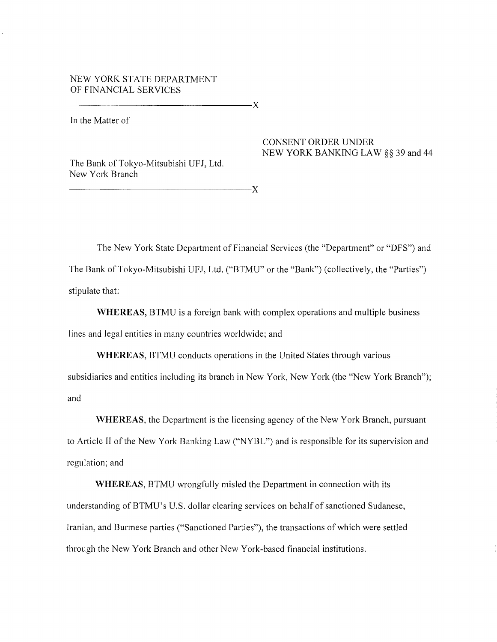# NEW YORK STATE DEPARTMENT OF FINANCIAL SERVICES

---------------------------------X

-----------------------------------X

In the Matter of

## CONSENT ORDER UNDER NEW YORK BANKING LAW §§ 39 and 44

The Bank of Tokyo-Mitsubishi UFJ, Ltd. New York Branch

The New York State Department of Financial Services (the "Department" or "DFS") and The Bank of Tokyo-Mitsubishi UFJ, Ltd. ("BTMU" or the "Bank") (collectively, the "Parties")

stipulate that:

**WHEREAS,** BTMU is a foreign bank with complex operations and multiple business lines and legal entities in many countries worldwide; and

**WHEREAS,** BTMU conducts operations in the United States through various subsidiaries and entities including its branch in New York, New York (the "New York Branch"); and

**WHEREAS,** the Department is the licensing agency of the New York Branch, pursuant to Article II of the New York Banking Law ("NYBL") and is responsible for its supervision and regulation; and

**WHEREAS,** BTMU wrongfully misled the Department in connection with its understanding of BTMU's U.S. dollar clearing services on behalf of sanctioned Sudanese, Iranian, and Burmese patties ("Sanctioned Parties"), the transactions of which were settled through the New York Branch and other New York-based financial institutions.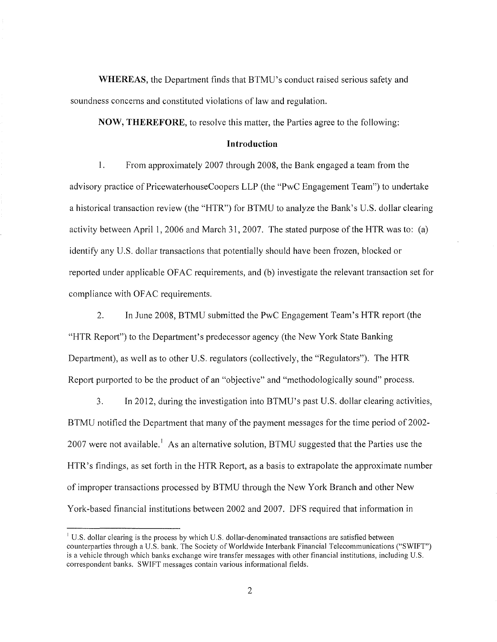**WHEREAS,** the Department finds that BTMU's conduct raised serious safety and soundness concerns and constituted violations of law and regulation.

**NOW, THEREFORE,** to resolve this matter, the Parties agree to the following:

### **Introduction**

1. From approximately 2007 through 2008, the Bank engaged a team from the advisory practice of PricewaterhouseCoopers LLP (the "PwC Engagement Team") to undertake a historical transaction review (the "HTR") for BTMU to analyze the Bank's U.S. dollar clearing activity between April 1, 2006 and March 31,2007. The stated purpose of the HTR was to: (a) identify any U.S. dollar transactions that potentially should have been frozen, blocked or reported under applicable OF AC requirements, and (b) investigate the relevant transaction set for compliance with OFAC requirements.

2. In June 2008, BTMU submitted the PwC Engagement Team's HTR report (the "HTR Report") to the Department's predecessor agency (the New York State Banking Department), as well as to other U.S. regulators (collectively, the "Regulators"). The HTR Report purported to be the product of an "objective" and "methodologically sound" process.

3. In 2012, during the investigation into BTMU's past U.S. dollar clearing activities, BTMU notified the Department that many of the payment messages for the time period of 2002-2007 were not available.<sup>1</sup> As an alternative solution, BTMU suggested that the Parties use the HTR's findings, as set forth in the HTR Report, as a basis to extrapolate the approximate number of improper transactions processed by BTMU through the New York Branch and other New York-based financial institutions between 2002 and 2007. DFS required that information in

 $1$  U.S. dollar clearing is the process by which U.S. dollar-denominated transactions are satisfied between counterparties through a U.S. bank. The Society of Worldwide Interbank Financial Telecommunications ("SWIFT") is a vehicle through which banks exchange wire transfer messages with other financial institutions, including U.S. correspondent banks. SWIFT messages contain various informational fields.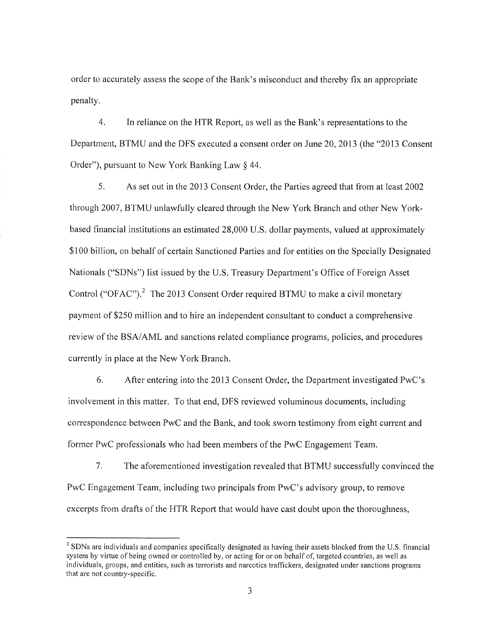order to accurately assess the scope of the Bank's misconduct and thereby fix an appropriate penalty.

4. In reliance on the HTR Report, as well as the Bank's representations to the Department, BTMU and the DFS executed a consent order on June 20, 2013 (the "2013 Consent Order"), pursuant to New York Banking Law § 44.

5. As set out in the 2013 Consent Order, the Parties agreed that from at least 2002 through 2007, BTMU unlawfully cleared through the New York Branch and other New Yorkbased financial institutions an estimated 28,000 U.S. dollar payments, valued at approximately \$100 billion, on behalf of certain Sanctioned Parties and for entities on the Specially Designated Nationals ("SDNs") list issued by the U.S. Treasury Department's Office of Foreign Asset Control ("OFAC").<sup>2</sup> The 2013 Consent Order required BTMU to make a civil monetary payment of \$250 million and to hire an independent consultant to conduct a comprehensive review of the BSA/AML and sanctions related compliance programs, policies, and procedures currently in place at the New York Branch.

6. After entering into the 2013 Consent Order, the Department investigated PwC's involvement in this matter. To that end, DFS reviewed voluminous documents, including correspondence between PwC and the Bank, and took sworn testimony from eight current and former PwC professionals who had been members of the PwC Engagement Team.

7. The aforementioned investigation revealed that BTMU successfully convinced the PwC Engagement Team, including two principals from PwC's advisory group, to remove excerpts from drafts of the HTR Report that would have cast doubt upon the thoroughness,

 $2^{2}$  SDNs are individuals and companies specifically designated as having their assets blocked from the U.S. financial system by virtue of being owned or controlled by, or acting for or on behalf of, targeted countries, as well as individuals, groups, and entities, such as terrorists and narcotics traffickers, designated under sanctions programs that are not country-specific.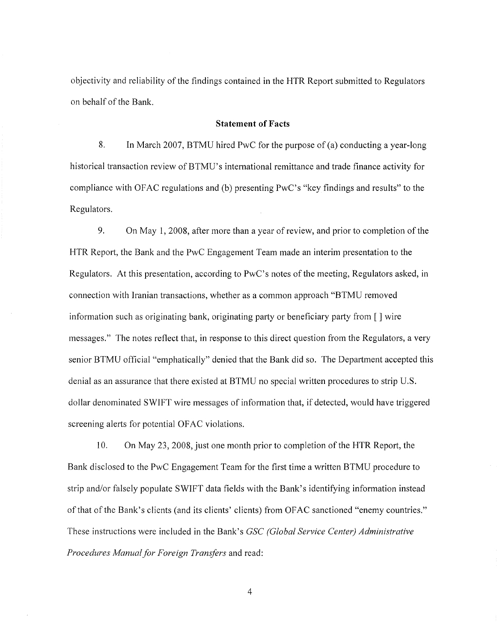objectivity and reliability of the findings contained in the HTR Report submitted to Regulators on behalf of the Bank.

## **Statement of Facts**

8. In March 2007, BTMU hired PwC for the purpose of (a) conducting a year-long historical transaction review of BTMU's international remittance and trade finance activity for compliance with OFAC regulations and (b) presenting PwC's "key findings and results" to the Regulators.

9. On May 1, 2008, after more than a year of review, and prior to completion of the HTR Report, the Bank and the PwC Engagement Team made an interim presentation to the Regulators. At this presentation, according to PwC's notes of the meeting, Regulators asked, in connection with Iranian transactions, whether as a common approach "BTMU removed information such as originating bank, originating party or beneficiary party from  $\lceil \cdot \rceil$  wire messages." The notes reflect that, in response to this direct question from the Regulators, a very senior BTMU official "emphatically" denied that the Bank did so. The Department accepted this denial as an assurance that there existed at BTMU no special written procedures to strip U.S. dollar denominated SWIFT wire messages of information that, if detected, would have triggered screening alerts for potential OFAC violations.

10. On May 23, 2008, just one month prior to completion of the HTR Report, the Bank disclosed to the PwC Engagement Team for the first time a written BTMU procedure to strip and/or falsely populate SWIFT data fields with the Bank's identifying information instead of that of the Bank's clients (and its clients' clients) from OFAC sanctioned "enemy countries." These instructions were included in the Bank's *GSC (Global Service Center) Administrat;ve Procedures Manual for Foreign Transfers* and read: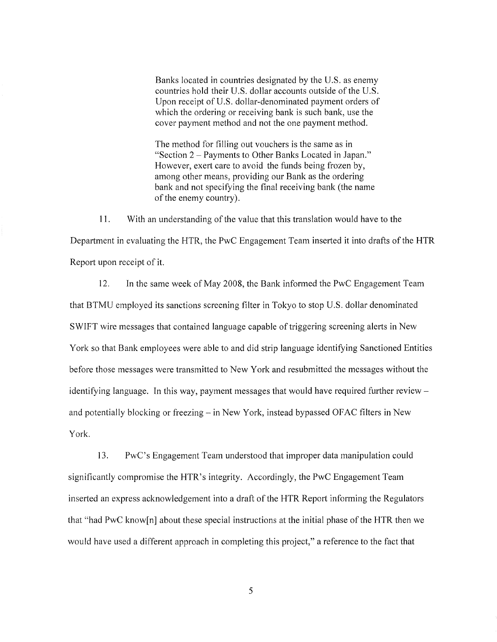Banks located in countries designated by the U.S. as enemy countries hold their U.S. dollar accounts outside of the U.S. Upon receipt of U.S. dollar-denominated payment orders of which the ordering or receiving bank is such bank, use the cover payment method and not the one payment method.

The method for filling out vouchers is the same as in "Section 2- Payments to Other Banks Located in Japan." However, exert care to avoid the funds being frozen by, among other means, providing our Bank as the ordering bank and not specifying the final receiving bank (the name of the enemy country).

11. With an understanding of the value that this translation would have to the Department in evaluating the HTR, the PwC Engagement Team inserted it into drafts of the HTR Report upon receipt of it.

12. In the same week of May 2008, the Bank informed the PwC Engagement Team that BTMU employed its sanctions screening filter in Tokyo to stop U.S. dollar denominated SWIFT wire messages that contained language capable of triggering screening alerts in New York so that Bank employees were able to and did strip language identifying Sanctioned Entities before those messages were transmitted to New York and resubmitted the messages without the identifying language. In this way, payment messages that would have required further reviewand potentially blocking or freezing  $-$  in New York, instead bypassed OFAC filters in New York.

13. PwC's Engagement Team understood that improper data manipulation could significantly compromise the HTR's integrity. Accordingly, the PwC Engagement Team inserted an express acknowledgement into a draft of the HTR Report informing the Regulators that "had PwC know[n] about these special instructions at the initial phase of the HTR then we would have used a different approach in completing this project," a reference to the fact that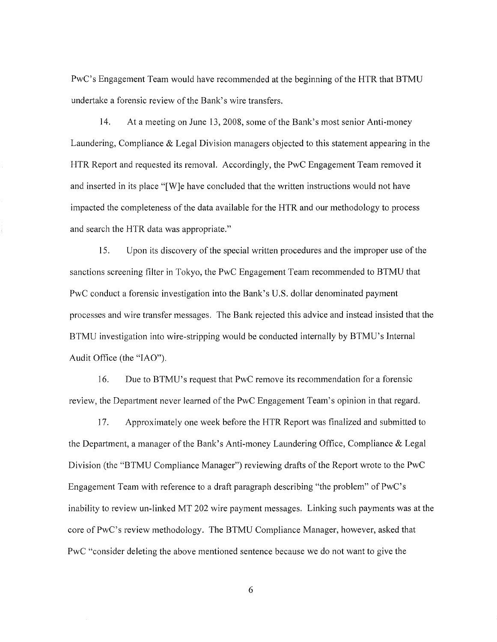PwC's Engagement Team would have recommended at the beginning of the HTR that BTMU undertake a forensic review of the Bank's wire transfers.

14. At a meeting on June 13, 2008, some ofthe Bank's most senior Anti-money Laundering, Compliance & Legal Division managers objected to this statement appearing in the HTR Report and requested its removal. Accordingly, the PwC Engagement Team removed it and inserted in its place "[W]e have concluded that the written instructions would not have impacted the completeness of the data available for the HTR and our methodology to process and search the HTR data was appropriate."

15. Upon its discovery ofthe special written procedures and the improper use ofthe sanctions screening filter in Tokyo, the PwC Engagement Team recommended to BTMU that PwC conduct a forensic investigation into the Bank's U.S. dollar denominated payment processes and wire transfer messages. The Bank rejected this advice and instead insisted that the BTMU investigation into wire-stripping would be conducted internally by BTMU's Internal Audit Office (the "lAO").

16. Due to BTMU's request that PwC remove its recommendation for a forensic review, the Department never learned of the PwC Engagement Team's opinion in that regard.

17. Approximately one week before the HTR Report was finalized and submitted to the Department, a manager of the Bank's Anti-money Laundering Office, Compliance & Legal Division (the "BTMU Compliance Manager") reviewing drafts of the Report wrote to the PwC Engagement Team with reference to a draft paragraph describing "the problem" of PwC's inability to review un-linked MT 202 wire payment messages. Linking such payments was at the core of PwC's review methodology. The BTMU Compliance Manager, however, asked that PwC "consider deleting the above mentioned sentence because we do not want to give the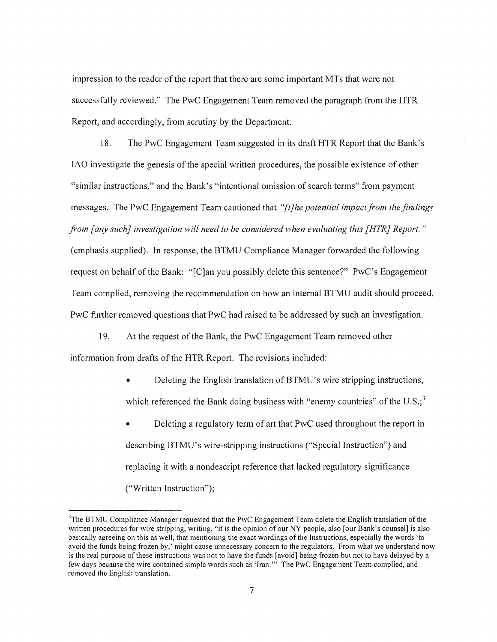impression to the reader of the report that there are some important MTs that were not successfully reviewed." The PwC Engagement Team removed the paragraph from the HTR Report, and accordingly, from scrutiny by the Department.

18. The PwC Engagement Team suggested in its draft HTR Report that the Bank's lAO investigate the genesis of the special written procedures, the possible existence of other "similar instructions," and the Bank's "intentional omission of search terms" from payment messages. The PwC Engagement Team cautioned that *"[t}he potential impact from the findings from [any such] investigation will need to be considered when evaluating this [HTR} Report."*  (emphasis supplied). In response, the BTMU Compliance Manager forwarded the following request on behalf of the Bank: "[C]an you possibly delete this sentence?" PwC's Engagement Team complied, removing the recommendation on how an internal BTMU audit should proceed. PwC further removed questions that PwC had raised to be addressed by such an investigation.

19. At the request of the Bank, the PwC Engagement Team removed other information from drafts of the HTR Report. The revisions included:

- Deleting the English translation of BTMU's wire stripping instructions, which referenced the Bank doing business with "enemy countries" of the  $U.S.^3$
- Deleting a regulatory term of art that PwC used throughout the report in describing BTMU's wire-stripping instructions ("Special Instruction") and replacing it with a nondescript reference that lacked regulatory significance ("Written Instruction");

 $3$ The BTMU Compliance Manager requested that the PwC Engagement Team delete the English translation of the written procedures for wire stripping, writing, "it is the opinion of our NY people, also [our Bank's counsel] is also basically agreeing on this as well, that mentioning the exact wordings of the Instructions, especially the words 'to avoid the funds being frozen by,' might cause unnecessary concern to the regulators. From what we understand now is the real purpose of these instructions was not to have the funds [avoid] being frozen but not to have delayed by a few days because the wire contained simple words such as 'Iran."' The PwC Engagement Team complied, and removed the English translation.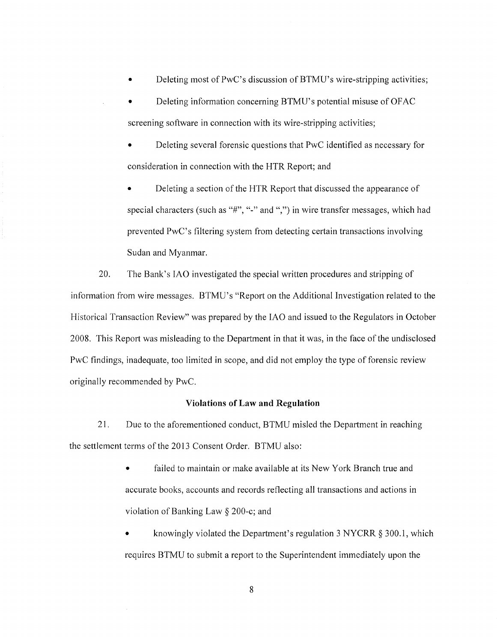Deleting most of PwC's discussion of BTMU's wire-stripping activities;

• Deleting information concerning BTMU' s potential misuse of OF AC screening software in connection with its wire-stripping activities;

• Deleting several forensic questions that PwC identified as necessary for consideration in connection with the HTR Report; and

• Deleting a section of the HTR Report that discussed the appearance of special characters (such as "#", "-" and ",") in wire transfer messages, which had prevented PwC's filtering system from detecting certain transactions involving Sudan and Myanmar.

20. The Bank's lAO investigated the special written procedures and stripping of information from wire messages. BTMU's "Report on the Additional Investigation related to the Historical Transaction Review" was prepared by the lAO and issued to the Regulators in October 2008. This Report was misleading to the Department in that it was, in the face of the undisclosed PwC findings, inadequate, too limited in scope, and did not employ the type of forensic review originally recommended by PwC.

#### **Violations of Law and Regulation**

21. Due to the aforementioned conduct, BTMU misled the Department in reaching the settlement terms of the 2013 Consent Order. BTMU also:

> failed to maintain or make available at its New York Branch true and accurate books, accounts and records reflecting all transactions and actions in violation of Banking Law § 200-c; and

• knowingly violated the Department's regulation 3 NYCRR § 300.1, which requires BTMU to submit a report to the Superintendent immediately upon the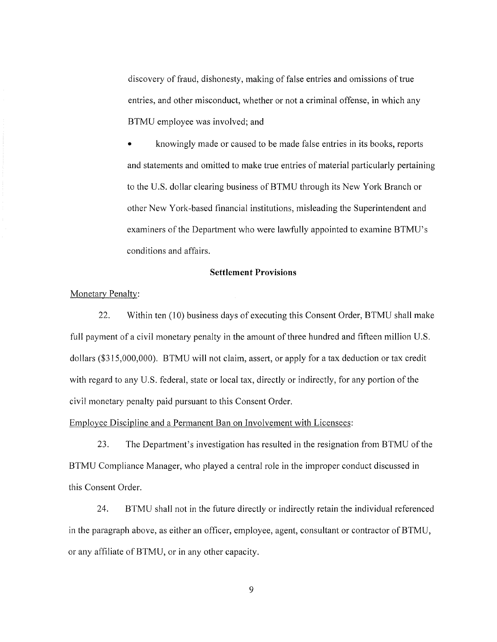discovery of fraud, dishonesty, making of false entries and omissions of true entries, and other misconduct, whether or not a criminal offense, in which any BTMU employee was involved; and

• knowingly made or caused to be made false entries in its books, reports and statements and omitted to make true entries of material particularly pertaining to the U.S. dollar clearing business of BTMU through its New York Branch or other New York-based financial institutions, misleading the Superintendent and examiners of the Department who were lawfully appointed to examine BTMU's conditions and affairs.

#### **Settlement Provisions**

## Monetary Penalty:

22. Within ten (10) business days of executing this Consent Order, BTMU shall make full payment of a civil monetary penalty in the amount of three hundred and fifteen million U.S. dollars (\$315,000,000). BTMU will not claim, assert, or apply for a tax deduction or tax credit with regard to any U.S. federal, state or local tax, directly or indirectly, for any portion of the civil monetary penalty paid pursuant to this Consent Order.

Employee Discipline and a Permanent Ban on Involvement with Licensees:

23. The Department's investigation has resulted in the resignation from BTMU of the BTMU Compliance Manager, who played a central role in the improper conduct discussed in this Consent Order.

24. BTMU shall not in the future directly or indirectly retain the individual referenced in the paragraph above, as either an officer, employee, agent, consultant or contractor of BTMU, or any affiliate of BTMU, or in any other capacity.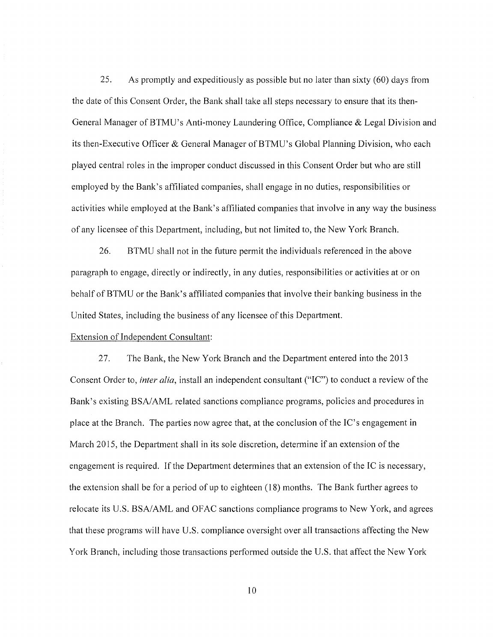25. As promptly and expeditiously as possible but no later than sixty (60) days from the date of this Consent Order, the Bank shall take all steps necessary to ensure that its then-General Manager of BTMU's Anti-money Laundering Office, Compliance & Legal Division and its then-Executive Officer & General Manager of BTMU's Global Planning Division, who each played central roles in the improper conduct discussed in this Consent Order but who are still employed by the Bank's affiliated companies, shall engage in no duties, responsibilities or activities while employed at the Bank's affiliated companies that involve in any way the business of any licensee of this Department, including, but not limited to, the New York Branch.

26. BTMU shall not in the future permit the individuals referenced in the above paragraph to engage, directly or indirectly, in any duties, responsibilities or activities at or on behalf of BTMU or the Bank's affiliated companies that involve their banking business in the United States, including the business of any licensee of this Department.

## Extension of Independent Consultant:

27. The Bank, the New York Branch and the Department entered into the 2013 Consent Order to, *inter alia*, install an independent consultant ("IC") to conduct a review of the Bank's existing BSA/AML related sanctions compliance programs, policies and procedures in place at the Branch. The parties now agree that, at the conclusion of the IC's engagement in March 2015, the Department shall in its sole discretion, determine if an extension of the engagement is required. If the Department determines that an extension of the IC is necessary, the extension shall be for a period of up to eighteen (18) months. The Bank further agrees to relocate its U.S. BSA/AML and OFAC sanctions compliance programs to New York, and agrees that these programs will have U.S. compliance oversight over all transactions affecting the New York Branch, including those transactions performed outside the U.S. that affect the New York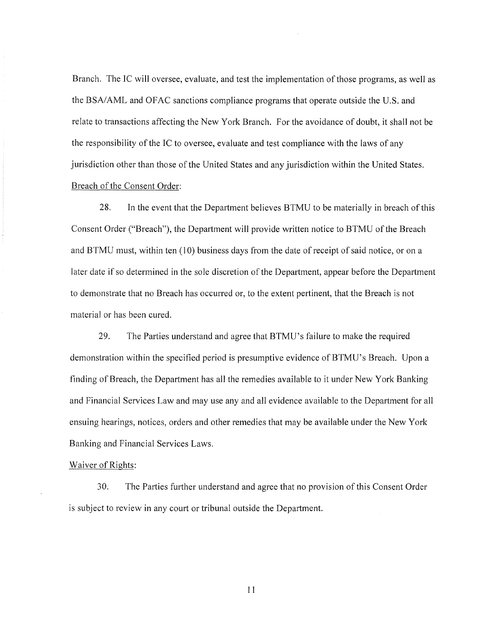Branch. The IC will oversee, evaluate, and test the implementation of those programs, as well as the BSA/AML and OFAC sanctions compliance programs that operate outside the U.S. and relate to transactions affecting the New York Branch. For the avoidance of doubt, it shall not be the responsibility of the IC to oversee, evaluate and test compliance with the laws of any jurisdiction other than those of the United States and any jurisdiction within the United States. Breach of the Consent Order:

28. In the event that the Department believes BTMU to be materially in breach of this Consent Order ("Breach"), the Department will provide written notice to BTMU of the Breach and BTMU must, within ten (10) business days from the date of receipt of said notice, or on a later date if so determined in the sole discretion of the Department, appear before the Department to demonstrate that no Breach has occurred or, to the extent pertinent, that the Breach is not material or has been cured.

29. The Parties understand and agree that BTMU's failure to make the required demonstration within the specified period is presumptive evidence of BTMU's Breach. Upon a finding of Breach, the Department has all the remedies available to it under New York Banking and Financial Services Law and may use any and all evidence available to the Department for all ensuing hearings, notices, orders and other remedies that may be available under the New York Banking and Financial Services Laws.

### Waiver of Rights:

30. The Parties further understand and agree that no provision of this Consent Order is subject to review in any court or tribunal outside the Department.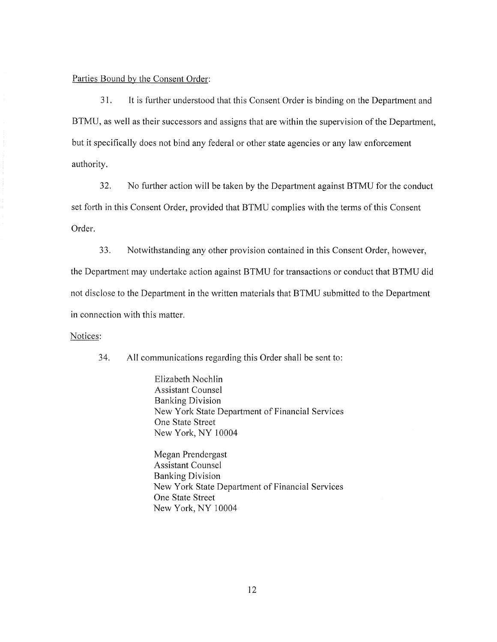## Parties Bound by the Consent Order:

3I. It is further understood that this Consent Order is binding on the Department and BTMU, as well as their successors and assigns that are within the supervision of the Department, but it specifically does not bind any federal or other state agencies or any law enforcement authority.

32. No further action will be taken by the Department against BTMU for the conduct set forth in this Consent Order, provided that BTMU complies with the terms of this Consent Order.

33. Notwithstanding any other provision contained in this Consent Order, however,

the Department may undertake action against BTMU for transactions or conduct that BTMU did not disclose to the Department in the written materials that BTMU submitted to the Department in connection with this matter.

## Notices:

34. All communications regarding this Order shall be sent to:

Elizabeth Nochlin Assistant Counsel Banking Division New York State Department of Financial Services One State Street New York, NY 10004

Megan Prendergast Assistant Counsel Banking Division New York State Department of Financial Services One State Street New York, NY 10004